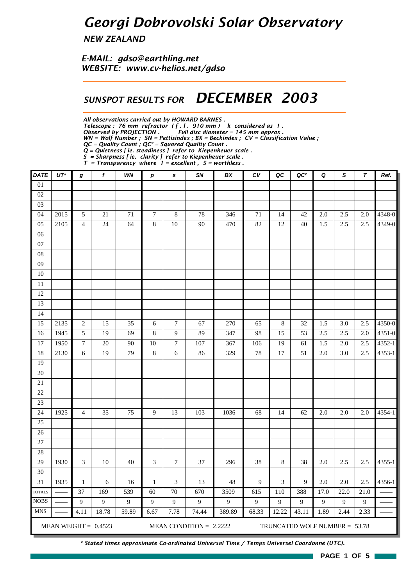## *Georgi Dobrovolski Solar Observatory*

*NEW ZEALAND*

*E-MAIL: gdso@earthling.net WEBSITE: www.cv-helios.net/gdso*

### *SUNSPOT RESULTS FOR DECEMBER 2003*

*All observations carried out by HOWARD BARNES .*

*Telescope : 76 mm refractor ( f . l . 910 mm ) k considered as 1 .*

*Observed by PROJECTION . Full disc diameter = 145 mm approx .*

*WN = Wolf Number ; SN = Pettisindex ; BX = Beckindex ; CV = Classification Value ; QC = Quality Count ; QC² = Squared Quality Count .*

*Q = Quietness [ ie. steadiness ] refer to Kiepenheuer scale .*

*S = Sharpness [ ie. clarity ] refer to Kiepenheuer scale .*

*T = Transparency where 1 = excellent , 5 = worthless .*

| <b>DATE</b>                  | $UT^*$ | g                | f                      | WN    | $\boldsymbol{p}$ | s               | SN                        | BX     | c <sub>V</sub>   | QC      | QC <sup>2</sup>               | Q    | S                | $\tau$  | Ref.   |
|------------------------------|--------|------------------|------------------------|-------|------------------|-----------------|---------------------------|--------|------------------|---------|-------------------------------|------|------------------|---------|--------|
| $\overline{01}$              |        |                  |                        |       |                  |                 |                           |        |                  |         |                               |      |                  |         |        |
| $02\,$                       |        |                  |                        |       |                  |                 |                           |        |                  |         |                               |      |                  |         |        |
| 03                           |        |                  |                        |       |                  |                 |                           |        |                  |         |                               |      |                  |         |        |
| 04                           | 2015   | 5                | 21                     | 71    | $\tau$           | $\,8\,$         | 78                        | 346    | 71               | 14      | 42                            | 2.0  | 2.5              | 2.0     | 4348-0 |
| 05                           | 2105   | $\overline{4}$   | 24                     | 64    | $\,8\,$          | 10              | 90                        | 470    | 82               | 12      | 40                            | 1.5  | 2.5              | 2.5     | 4349-0 |
| $06$                         |        |                  |                        |       |                  |                 |                           |        |                  |         |                               |      |                  |         |        |
| 07                           |        |                  |                        |       |                  |                 |                           |        |                  |         |                               |      |                  |         |        |
| ${\bf 08}$                   |        |                  |                        |       |                  |                 |                           |        |                  |         |                               |      |                  |         |        |
| 09                           |        |                  |                        |       |                  |                 |                           |        |                  |         |                               |      |                  |         |        |
| $10\,$                       |        |                  |                        |       |                  |                 |                           |        |                  |         |                               |      |                  |         |        |
| 11                           |        |                  |                        |       |                  |                 |                           |        |                  |         |                               |      |                  |         |        |
| 12                           |        |                  |                        |       |                  |                 |                           |        |                  |         |                               |      |                  |         |        |
| 13                           |        |                  |                        |       |                  |                 |                           |        |                  |         |                               |      |                  |         |        |
| 14                           |        |                  |                        |       |                  |                 |                           |        |                  |         |                               |      |                  |         |        |
| 15                           | 2135   | $\sqrt{2}$       | 15                     | 35    | 6                | $\tau$          | 67                        | 270    | 65               | $\,8\,$ | 32                            | 1.5  | 3.0              | 2.5     | 4350-0 |
| 16                           | 1945   | $\sqrt{5}$       | 19                     | 69    | $\,8\,$          | 9               | 89                        | 347    | 98               | 15      | 53                            | 2.5  | 2.5              | 2.0     | 4351-0 |
| 17                           | 1950   | $\boldsymbol{7}$ | 20                     | 90    | 10               | $\overline{7}$  | 107                       | 367    | 106              | 19      | 61                            | 1.5  | 2.0              | 2.5     | 4352-1 |
| 18                           | 2130   | $\sqrt{6}$       | 19                     | 79    | $\,8\,$          | 6               | 86                        | 329    | 78               | 17      | 51                            | 2.0  | 3.0              | 2.5     | 4353-1 |
| 19                           |        |                  |                        |       |                  |                 |                           |        |                  |         |                               |      |                  |         |        |
| $20\,$                       |        |                  |                        |       |                  |                 |                           |        |                  |         |                               |      |                  |         |        |
| 21                           |        |                  |                        |       |                  |                 |                           |        |                  |         |                               |      |                  |         |        |
| 22                           |        |                  |                        |       |                  |                 |                           |        |                  |         |                               |      |                  |         |        |
| 23                           |        |                  |                        |       |                  |                 |                           |        |                  |         |                               |      |                  |         |        |
| 24                           | 1925   | $\overline{4}$   | 35                     | 75    | $\mathbf{9}$     | 13              | 103                       | 1036   | 68               | 14      | 62                            | 2.0  | 2.0              | 2.0     | 4354-1 |
| 25                           |        |                  |                        |       |                  |                 |                           |        |                  |         |                               |      |                  |         |        |
| $\overline{26}$              |        |                  |                        |       |                  |                 |                           |        |                  |         |                               |      |                  |         |        |
| 27                           |        |                  |                        |       |                  |                 |                           |        |                  |         |                               |      |                  |         |        |
| 28                           |        |                  |                        |       |                  |                 |                           |        |                  |         |                               |      |                  |         |        |
| 29                           | 1930   | 3                | $10\,$                 | 40    | 3                | $\tau$          | 37                        | 296    | 38               | 8       | 38                            | 2.0  | 2.5              | $2.5\,$ | 4355-1 |
| 30                           |        |                  |                        |       |                  |                 |                           |        |                  |         |                               |      |                  |         |        |
| $\overline{31}$              | 1935   | $\,1\,$          | 6                      | 16    | $\mathbf{1}$     | 3               | 13                        | 48     | 9                | 3       | 9                             | 2.0  | $\overline{2.0}$ | 2.5     | 4356-1 |
| <b>TOTALS</b><br><b>NOBS</b> |        | 37               | 169                    | 539   | 60               | $\overline{70}$ | 670                       | 3509   | $\overline{615}$ | 110     | 388                           | 17.0 | 22.0             | 21.0    |        |
| <b>MNS</b>                   |        | 9                | $\overline{9}$         | 9     | $\mathbf{9}$     | 9               | 9                         | 9      | 9                | 9       | 9                             | 9    | $\mathbf{9}$     | 9       |        |
|                              |        | 4.11             | 18.78                  | 59.89 | 6.67             | 7.78            | 74.44                     | 389.89 | 68.33            | 12.22   | 43.11                         | 1.89 | 2.44             | 2.33    |        |
|                              |        |                  | MEAN WEIGHT = $0.4523$ |       |                  |                 | MEAN CONDITION = $2.2222$ |        |                  |         | TRUNCATED WOLF NUMBER = 53.78 |      |                  |         |        |

*\* Stated times approximate Co-ordinated Universal Time / Temps Universel Coordonné (UTC).*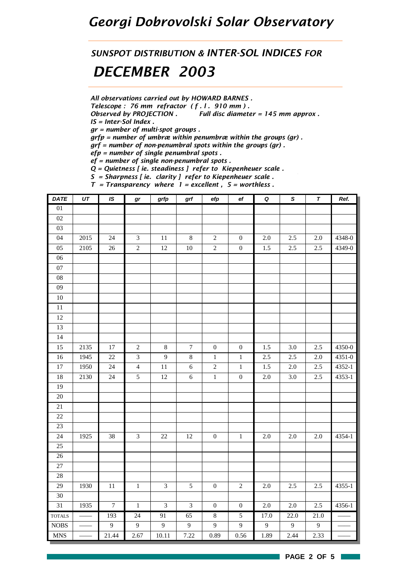### *Georgi Dobrovolski Solar Observatory*

*SUNSPOT DISTRIBUTION & INTER-SOL INDICES FOR DECEMBER 2003*

*All observations carried out by HOWARD BARNES .*

*Telescope : 76 mm refractor ( f . l . 910 mm ) .*

*Observed by PROJECTION . Full disc diameter = 145 mm approx . IS = Inter-Sol Index .*

*gr = number of multi-spot groups .*

*grfp = number of umbræ within penumbræ within the groups (gr) .*

*grf = number of non-penumbral spots within the groups (gr) .*

*efp = number of single penumbral spots .*

*ef = number of single non-penumbral spots .*

*Q = Quietness [ ie. steadiness ] refer to Kiepenheuer scale .*

*S = Sharpness [ ie. clarity ] refer to Kiepenheuer scale .*

*T = Transparency where 1 = excellent , 5 = worthless .*

| DATE            | UT   | $\overline{1S}$  | gr             | grfp           | grf              | efp              | $_{\rm ef}$      | $\pmb Q$ | $\overline{s}$ | $\overline{\tau}$ | Ref.       |
|-----------------|------|------------------|----------------|----------------|------------------|------------------|------------------|----------|----------------|-------------------|------------|
| 01              |      |                  |                |                |                  |                  |                  |          |                |                   |            |
| $02\,$          |      |                  |                |                |                  |                  |                  |          |                |                   |            |
| 03              |      |                  |                |                |                  |                  |                  |          |                |                   |            |
| 04              | 2015 | $24\,$           | $\mathfrak{Z}$ | $11\,$         | $\,8\,$          | $\sqrt{2}$       | $\boldsymbol{0}$ | $2.0\,$  | 2.5            | $2.0\,$           | 4348-0     |
| $05\,$          | 2105 | 26               | $\overline{c}$ | $12\,$         | $10\,$           | $\overline{2}$   | $\boldsymbol{0}$ | $1.5\,$  | $2.5\,$        | 2.5               | 4349-0     |
| $06\,$          |      |                  |                |                |                  |                  |                  |          |                |                   |            |
| $07\,$          |      |                  |                |                |                  |                  |                  |          |                |                   |            |
| ${\bf 08}$      |      |                  |                |                |                  |                  |                  |          |                |                   |            |
| 09              |      |                  |                |                |                  |                  |                  |          |                |                   |            |
| $10\,$          |      |                  |                |                |                  |                  |                  |          |                |                   |            |
| 11              |      |                  |                |                |                  |                  |                  |          |                |                   |            |
| 12              |      |                  |                |                |                  |                  |                  |          |                |                   |            |
| 13              |      |                  |                |                |                  |                  |                  |          |                |                   |            |
| $\overline{14}$ |      |                  |                |                |                  |                  |                  |          |                |                   |            |
| 15              | 2135 | 17               | $\sqrt{2}$     | $\,8\,$        | $\boldsymbol{7}$ | $\boldsymbol{0}$ | $\boldsymbol{0}$ | 1.5      | 3.0            | 2.5               | 4350-0     |
| 16              | 1945 | $22\,$           | $\mathfrak{Z}$ | $\mathbf{9}$   | $\,8\,$          | $\,1\,$          | $\mathbf{1}$     | 2.5      | 2.5            | 2.0               | 4351-0     |
| $\overline{17}$ | 1950 | $\overline{24}$  | $\overline{4}$ | $11\,$         | $\sqrt{6}$       | $\overline{2}$   | $\,1$            | $1.5\,$  | $2.0\,$        | $2.5\,$           | $4352 - 1$ |
| 18              | 2130 | 24               | $\mathfrak{S}$ | $12\,$         | $\sqrt{6}$       | $\,1$            | $\boldsymbol{0}$ | $2.0\,$  | $3.0\,$        | $2.5\,$           | 4353-1     |
| 19              |      |                  |                |                |                  |                  |                  |          |                |                   |            |
| $\overline{20}$ |      |                  |                |                |                  |                  |                  |          |                |                   |            |
| 21              |      |                  |                |                |                  |                  |                  |          |                |                   |            |
| 22              |      |                  |                |                |                  |                  |                  |          |                |                   |            |
| 23              |      |                  |                |                |                  |                  |                  |          |                |                   |            |
| 24              | 1925 | $38\,$           | $\mathfrak{Z}$ | $22\,$         | 12               | $\boldsymbol{0}$ | $\,1\,$          | $2.0\,$  | $2.0\,$        | $2.0\,$           | 4354-1     |
| 25              |      |                  |                |                |                  |                  |                  |          |                |                   |            |
| 26              |      |                  |                |                |                  |                  |                  |          |                |                   |            |
| 27              |      |                  |                |                |                  |                  |                  |          |                |                   |            |
| $28\,$          |      |                  |                |                |                  |                  |                  |          |                |                   |            |
| 29              | 1930 | 11               | $\,1\,$        | $\mathfrak{Z}$ | $\sqrt{5}$       | $\boldsymbol{0}$ | $\sqrt{2}$       | $2.0\,$  | 2.5            | 2.5               | 4355-1     |
| 30              |      |                  |                |                |                  |                  |                  |          |                |                   |            |
| 31              | 1935 | $\boldsymbol{7}$ | $\,1\,$        | $\mathfrak{Z}$ | $\mathfrak{Z}$   | $\boldsymbol{0}$ | $\boldsymbol{0}$ | $2.0\,$  | $2.0\,$        | 2.5               | 4356-1     |
| <b>TOTALS</b>   |      | 193              | 24             | 91             | 65               | $\overline{8}$   | $\overline{5}$   | 17.0     | 22.0           | 21.0              |            |
| <b>NOBS</b>     |      | $\overline{9}$   | 9              | $\overline{9}$ | $\overline{9}$   | $\boldsymbol{9}$ | 9                | 9        | $\overline{9}$ | $\overline{9}$    |            |
| <b>MNS</b>      |      | 21.44            | 2.67           | 10.11          | 7.22             | 0.89             | 0.56             | 1.89     | 2.44           | 2.33              |            |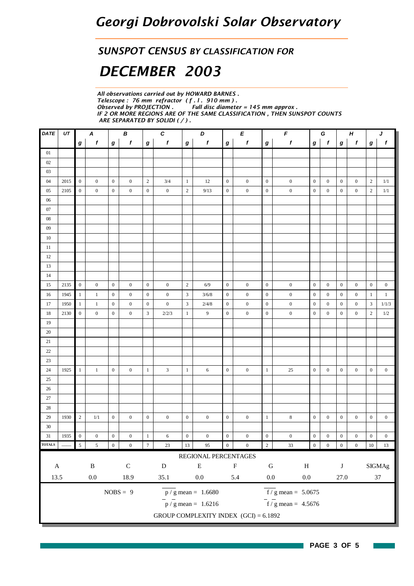#### *SUNSPOT CENSUS BY CLASSIFICATION FOR*

# *DECEMBER 2003*

*All observations carried out by HOWARD BARNES . Telescope : 76 mm refractor ( f . l . 910 mm ) .* **Full disc diameter = 145 mm approx.** *IF 2 OR MORE REGIONS ARE OF THE SAME CLASSIFICATION , THEN SUNSPOT COUNTS ARE SEPARATED BY SOLIDI ( / ) .*

| DATE                                | UT   |                          | $\pmb{\mathsf{A}}$      |                  | B                |                             | $\boldsymbol{c}$ |                  | D                                       |                  | Е                   |                  | $\pmb{\digamma}$                   |                  | G                |                  | $\boldsymbol{H}$ |                  | J                |
|-------------------------------------|------|--------------------------|-------------------------|------------------|------------------|-----------------------------|------------------|------------------|-----------------------------------------|------------------|---------------------|------------------|------------------------------------|------------------|------------------|------------------|------------------|------------------|------------------|
|                                     |      | $\bm{g}$                 | $\boldsymbol{f}$        | g                | $\pmb{f}$        | $\boldsymbol{g}$            | $\boldsymbol{f}$ | $\boldsymbol{g}$ | f                                       | $\bm{g}$         | $\pmb{f}$           | $\boldsymbol{g}$ | $\pmb{f}$                          | $\bm{g}$         | $\mathbf{f}$     | $\bm{g}$         | $\boldsymbol{f}$ | $\bm{g}$         | $\pmb{f}$        |
| 01                                  |      |                          |                         |                  |                  |                             |                  |                  |                                         |                  |                     |                  |                                    |                  |                  |                  |                  |                  |                  |
| $02\,$                              |      |                          |                         |                  |                  |                             |                  |                  |                                         |                  |                     |                  |                                    |                  |                  |                  |                  |                  |                  |
| $03\,$                              |      |                          |                         |                  |                  |                             |                  |                  |                                         |                  |                     |                  |                                    |                  |                  |                  |                  |                  |                  |
| 04                                  | 2015 | $\mathbf{0}$             | $\boldsymbol{0}$        | $\boldsymbol{0}$ | $\boldsymbol{0}$ | $\sqrt{2}$                  | 3/4              | $\mathbf{1}$     | 12                                      | $\overline{0}$   | $\boldsymbol{0}$    | $\mathbf{0}$     | $\boldsymbol{0}$                   | $\boldsymbol{0}$ | $\boldsymbol{0}$ | $\boldsymbol{0}$ | $\boldsymbol{0}$ | $\mathbf{2}$     | $1/1\,$          |
| 05                                  | 2105 | $\boldsymbol{0}$         | $\mathbf{0}$            | $\boldsymbol{0}$ | $\mathbf{0}$     | $\boldsymbol{0}$            | $\boldsymbol{0}$ | $\sqrt{2}$       | 9/13                                    | $\mathbf{0}$     | $\boldsymbol{0}$    | $\boldsymbol{0}$ | $\boldsymbol{0}$                   | $\mathbf{0}$     | $\boldsymbol{0}$ | $\boldsymbol{0}$ | $\boldsymbol{0}$ | $\mathbf{2}$     | $1/1\,$          |
| 06                                  |      |                          |                         |                  |                  |                             |                  |                  |                                         |                  |                     |                  |                                    |                  |                  |                  |                  |                  |                  |
| $07\,$                              |      |                          |                         |                  |                  |                             |                  |                  |                                         |                  |                     |                  |                                    |                  |                  |                  |                  |                  |                  |
| ${\bf 08}$                          |      |                          |                         |                  |                  |                             |                  |                  |                                         |                  |                     |                  |                                    |                  |                  |                  |                  |                  |                  |
| 09                                  |      |                          |                         |                  |                  |                             |                  |                  |                                         |                  |                     |                  |                                    |                  |                  |                  |                  |                  |                  |
| $10\,$                              |      |                          |                         |                  |                  |                             |                  |                  |                                         |                  |                     |                  |                                    |                  |                  |                  |                  |                  |                  |
| 11                                  |      |                          |                         |                  |                  |                             |                  |                  |                                         |                  |                     |                  |                                    |                  |                  |                  |                  |                  |                  |
| 12                                  |      |                          |                         |                  |                  |                             |                  |                  |                                         |                  |                     |                  |                                    |                  |                  |                  |                  |                  |                  |
| 13                                  |      |                          |                         |                  |                  |                             |                  |                  |                                         |                  |                     |                  |                                    |                  |                  |                  |                  |                  |                  |
| 14                                  |      |                          |                         |                  |                  |                             |                  |                  |                                         |                  |                     |                  |                                    |                  |                  |                  |                  |                  |                  |
| 15                                  | 2135 | $\mathbf{0}$             | $\mathbf{0}$            | $\boldsymbol{0}$ | $\boldsymbol{0}$ | $\boldsymbol{0}$            | $\boldsymbol{0}$ | $\sqrt{2}$       | 6/9                                     | $\boldsymbol{0}$ | $\boldsymbol{0}$    | $\boldsymbol{0}$ | $\boldsymbol{0}$                   | $\boldsymbol{0}$ | $\boldsymbol{0}$ | $\boldsymbol{0}$ | $\boldsymbol{0}$ | $\boldsymbol{0}$ | $\boldsymbol{0}$ |
| 16                                  | 1945 | $\mathbf{1}$             | $\mathbf{1}$            | $\mathbf{0}$     | $\boldsymbol{0}$ | $\boldsymbol{0}$            | $\boldsymbol{0}$ | $\mathfrak{Z}$   | 3/6/8                                   | $\mathbf{0}$     | $\boldsymbol{0}$    | $\boldsymbol{0}$ | $\boldsymbol{0}$                   | $\boldsymbol{0}$ | $\boldsymbol{0}$ | $\boldsymbol{0}$ | $\boldsymbol{0}$ | 1                | $\mathbf{1}$     |
| 17                                  | 1950 | $\mathbf{1}$             | $\mathbf{1}$            | $\boldsymbol{0}$ | $\mathbf{0}$     | $\boldsymbol{0}$            | $\boldsymbol{0}$ | $\mathfrak{Z}$   | 2/4/8                                   | $\boldsymbol{0}$ | $\boldsymbol{0}$    | $\boldsymbol{0}$ | $\boldsymbol{0}$                   | $\boldsymbol{0}$ | $\boldsymbol{0}$ | $\boldsymbol{0}$ | $\boldsymbol{0}$ | 3                | 1/1/3            |
| 18                                  | 2130 | $\boldsymbol{0}$         | $\mathbf{0}$            | $\boldsymbol{0}$ | $\mathbf{0}$     | $\ensuremath{\mathfrak{Z}}$ | 2/2/3            | $\mathbf{1}$     | 9                                       | $\boldsymbol{0}$ | $\boldsymbol{0}$    | $\boldsymbol{0}$ | $\boldsymbol{0}$                   | $\mathbf{0}$     | $\boldsymbol{0}$ | $\boldsymbol{0}$ | $\boldsymbol{0}$ | $\mathbf{2}$     | 1/2              |
| 19                                  |      |                          |                         |                  |                  |                             |                  |                  |                                         |                  |                     |                  |                                    |                  |                  |                  |                  |                  |                  |
| 20                                  |      |                          |                         |                  |                  |                             |                  |                  |                                         |                  |                     |                  |                                    |                  |                  |                  |                  |                  |                  |
| 21                                  |      |                          |                         |                  |                  |                             |                  |                  |                                         |                  |                     |                  |                                    |                  |                  |                  |                  |                  |                  |
| $22\,$                              |      |                          |                         |                  |                  |                             |                  |                  |                                         |                  |                     |                  |                                    |                  |                  |                  |                  |                  |                  |
| 23                                  |      |                          |                         |                  |                  |                             |                  |                  |                                         |                  |                     |                  |                                    |                  |                  |                  |                  |                  |                  |
| 24                                  | 1925 | $\mathbf{1}$             | $\mathbf{1}$            | $\mathbf{0}$     | $\mathbf{0}$     | $\mathbf{1}$                | 3                | $\mathbf{1}$     | 6                                       | $\overline{0}$   | $\boldsymbol{0}$    | $\mathbf{1}$     | $25\,$                             | $\boldsymbol{0}$ | $\boldsymbol{0}$ | $\boldsymbol{0}$ | $\boldsymbol{0}$ | $\boldsymbol{0}$ | $\boldsymbol{0}$ |
| 25                                  |      |                          |                         |                  |                  |                             |                  |                  |                                         |                  |                     |                  |                                    |                  |                  |                  |                  |                  |                  |
| 26                                  |      |                          |                         |                  |                  |                             |                  |                  |                                         |                  |                     |                  |                                    |                  |                  |                  |                  |                  |                  |
| $27\,$                              |      |                          |                         |                  |                  |                             |                  |                  |                                         |                  |                     |                  |                                    |                  |                  |                  |                  |                  |                  |
| 28                                  |      |                          |                         |                  |                  |                             |                  |                  |                                         |                  |                     |                  |                                    |                  |                  |                  |                  |                  |                  |
| 29                                  | 1930 | $\sqrt{2}$               | 1/1                     | $\boldsymbol{0}$ | $\mathbf{0}$     | $\boldsymbol{0}$            | $\boldsymbol{0}$ | $\boldsymbol{0}$ | $\boldsymbol{0}$                        | $\boldsymbol{0}$ | $\boldsymbol{0}$    | $\,1\,$          | $\,8\,$                            | $\boldsymbol{0}$ | $\boldsymbol{0}$ | $\boldsymbol{0}$ | $\boldsymbol{0}$ | $\mathbf{0}$     | $\boldsymbol{0}$ |
| 30                                  |      |                          |                         |                  |                  |                             |                  |                  |                                         |                  |                     |                  |                                    |                  |                  |                  |                  |                  |                  |
| 31                                  | 1935 | $\boldsymbol{0}$         | $\boldsymbol{0}$        | $\boldsymbol{0}$ | $\boldsymbol{0}$ | $\,1\,$                     | 6                | $\boldsymbol{0}$ | $\boldsymbol{0}$                        | $\boldsymbol{0}$ | $\boldsymbol{0}$    | $\boldsymbol{0}$ | $\boldsymbol{0}$                   | $\boldsymbol{0}$ | $\boldsymbol{0}$ | $\boldsymbol{0}$ | $\boldsymbol{0}$ | $\boldsymbol{0}$ | $\boldsymbol{0}$ |
| <b>TOTALS</b>                       |      | $\overline{\phantom{a}}$ | $\overline{\mathbf{5}}$ | $\boldsymbol{0}$ | $\boldsymbol{0}$ | $\overline{7}$              | $23\,$           | 13               | 95                                      | $\overline{0}$   | $\boldsymbol{0}$    | $\overline{2}$   | $33\,$                             | $\boldsymbol{0}$ | $\overline{0}$   | $\boldsymbol{0}$ | $\boldsymbol{0}$ | $10\,$           | $13\,$           |
|                                     |      |                          |                         |                  |                  |                             |                  |                  | REGIONAL PERCENTAGES                    |                  |                     |                  |                                    |                  |                  |                  |                  |                  |                  |
| $\mathbf A$                         |      |                          | $\, {\bf B}$            |                  | ${\bf C}$        |                             | ${\bf D}$        |                  | ${\bf E}$                               |                  | $\mathbf F$         | ${\bf G}$        | $\, {\rm H}$                       |                  |                  | $\bf J$          |                  |                  | SIGMAg           |
| 13.5                                |      |                          | $0.0\,$                 |                  | 18.9             |                             | 35.1             |                  | $0.0\,$                                 |                  | 5.4                 | $0.0\,$          | $0.0\,$                            |                  |                  | 27.0             |                  |                  | $37\,$           |
|                                     |      |                          |                         |                  |                  |                             |                  |                  |                                         |                  |                     |                  |                                    |                  |                  |                  |                  |                  |                  |
| $NOBS = 9$<br>$p / g$ mean = 1.6680 |      |                          |                         |                  |                  |                             |                  |                  |                                         |                  | $f/g$ mean = 5.0675 |                  |                                    |                  |                  |                  |                  |                  |                  |
|                                     |      |                          |                         |                  |                  |                             |                  |                  | $\frac{1}{p}$ / g mean = 1.6216         |                  |                     |                  | $\frac{1}{\sqrt{5}}$ mean = 4.5676 |                  |                  |                  |                  |                  |                  |
|                                     |      |                          |                         |                  |                  |                             |                  |                  | GROUP COMPLEXITY INDEX $(GCI) = 6.1892$ |                  |                     |                  |                                    |                  |                  |                  |                  |                  |                  |

H

 $\sim$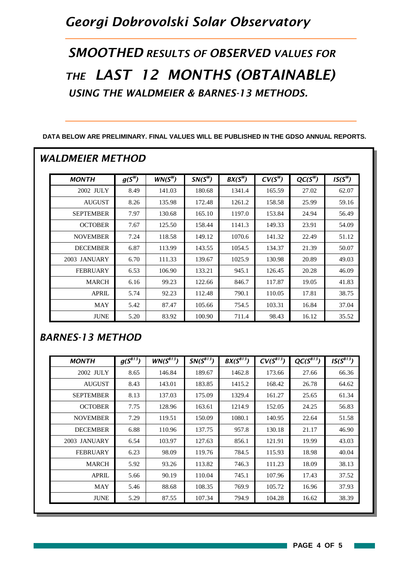## *Georgi Dobrovolski Solar Observatory*

*SMOOTHED RESULTS OF OBSERVED VALUES FOR THE LAST 12 MONTHS (OBTAINABLE) USING THE WALDMEIER & BARNES-13 METHODS.*

| <b>MONTH</b>     | $g(S^W)$ | $WN(S^W)$ | $SN(S^W)$ | $BX(S^W)$ | $CV(S^W)$ | $QC(S^W)$ | $IS(S^W)$ |
|------------------|----------|-----------|-----------|-----------|-----------|-----------|-----------|
| 2002 JULY        | 8.49     | 141.03    | 180.68    | 1341.4    | 165.59    | 27.02     | 62.07     |
| <b>AUGUST</b>    | 8.26     | 135.98    | 172.48    | 1261.2    | 158.58    | 25.99     | 59.16     |
| <b>SEPTEMBER</b> | 7.97     | 130.68    | 165.10    | 1197.0    | 153.84    | 24.94     | 56.49     |
| <b>OCTOBER</b>   | 7.67     | 125.50    | 158.44    | 1141.3    | 149.33    | 23.91     | 54.09     |
| <b>NOVEMBER</b>  | 7.24     | 118.58    | 149.12    | 1070.6    | 141.32    | 22.49     | 51.12     |
| <b>DECEMBER</b>  | 6.87     | 113.99    | 143.55    | 1054.5    | 134.37    | 21.39     | 50.07     |
| 2003 JANUARY     | 6.70     | 111.33    | 139.67    | 1025.9    | 130.98    | 20.89     | 49.03     |
| <b>FEBRUARY</b>  | 6.53     | 106.90    | 133.21    | 945.1     | 126.45    | 20.28     | 46.09     |
| <b>MARCH</b>     | 6.16     | 99.23     | 122.66    | 846.7     | 117.87    | 19.05     | 41.83     |
| <b>APRIL</b>     | 5.74     | 92.23     | 112.48    | 790.1     | 110.05    | 17.81     | 38.75     |
| <b>MAY</b>       | 5.42     | 87.47     | 105.66    | 754.5     | 103.31    | 16.84     | 37.04     |
| <b>JUNE</b>      | 5.20     | 83.92     | 100.90    | 711.4     | 98.43     | 16.12     | 35.52     |

**DATA BELOW ARE PRELIMINARY. FINAL VALUES WILL BE PUBLISHED IN THE GDSO ANNUAL REPORTS.**

#### *BARNES-13 METHOD*

| <b>MONTH</b>     | $g(S^{B13})$ | $WN(S^{B13})$ | $SN(S^{B13})$ | $BX(S^{B13})$ | $CV(S^{B13})$ | $QC(S^{B13})$ | $IS(S^{B13})$ |
|------------------|--------------|---------------|---------------|---------------|---------------|---------------|---------------|
| 2002 JULY        | 8.65         | 146.84        | 189.67        | 1462.8        | 173.66        | 27.66         | 66.36         |
| <b>AUGUST</b>    | 8.43         | 143.01        | 183.85        | 1415.2        | 168.42        | 26.78         | 64.62         |
| <b>SEPTEMBER</b> | 8.13         | 137.03        | 175.09        | 1329.4        | 161.27        | 25.65         | 61.34         |
| <b>OCTOBER</b>   | 7.75         | 128.96        | 163.61        | 1214.9        | 152.05        | 24.25         | 56.83         |
| <b>NOVEMBER</b>  | 7.29         | 119.51        | 150.09        | 1080.1        | 140.95        | 22.64         | 51.58         |
| <b>DECEMBER</b>  | 6.88         | 110.96        | 137.75        | 957.8         | 130.18        | 21.17         | 46.90         |
| 2003 JANUARY     | 6.54         | 103.97        | 127.63        | 856.1         | 121.91        | 19.99         | 43.03         |
| <b>FEBRUARY</b>  | 6.23         | 98.09         | 119.76        | 784.5         | 115.93        | 18.98         | 40.04         |
| <b>MARCH</b>     | 5.92         | 93.26         | 113.82        | 746.3         | 111.23        | 18.09         | 38.13         |
| <b>APRIL</b>     | 5.66         | 90.19         | 110.04        | 745.1         | 107.96        | 17.43         | 37.52         |
| <b>MAY</b>       | 5.46         | 88.68         | 108.35        | 769.9         | 105.72        | 16.96         | 37.93         |
| <b>JUNE</b>      | 5.29         | 87.55         | 107.34        | 794.9         | 104.28        | 16.62         | 38.39         |